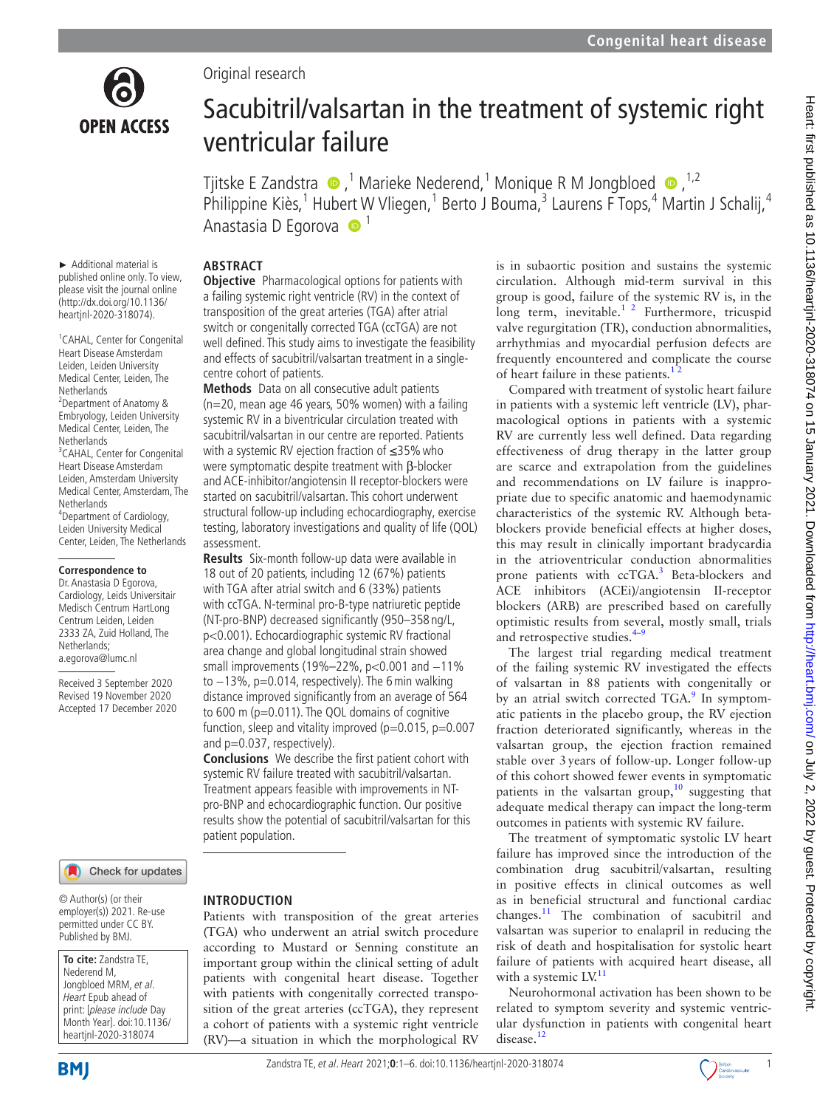

# Original research

# Sacubitril/valsartan in the treatment of systemic right ventricular failure

TjitskeE Zandstra  $\bigcirc$ ,<sup>1</sup> Marieke Nederend,<sup>1</sup> Monique R M Jongbloed  $\bigcirc$ ,<sup>1,2</sup> Philippine Kiès,<sup>1</sup> Hubert W Vliegen,<sup>1</sup> Berto J Bouma,<sup>3</sup> Laurens F Tops,<sup>4</sup> Martin J Schalij,<sup>4</sup> Anastasia D Egorova  $\bullet$ <sup>1</sup>

## **ABSTRACT**

► Additional material is published online only. To view, please visit the journal online (http://dx.doi.org/10.1136/ heartjnl-2020-318074).

<sup>1</sup> CAHAL, Center for Congenital Heart Disease Amsterdam Leiden, Leiden University Medical Center, Leiden, The **Netherlands** 2 Department of Anatomy & Embryology, Leiden University Medical Center, Leiden, The Netherlands <sup>3</sup> CAHAL, Center for Congenital Heart Disease Amsterdam Leiden, Amsterdam University Medical Center, Amsterdam, The **Netherlands** 4 Department of Cardiology, Leiden University Medical Center, Leiden, The Netherlands

#### **Correspondence to**

Dr. Anastasia D Egorova, Cardiology, Leids Universitair Medisch Centrum HartLong Centrum Leiden, Leiden 2333 ZA, Zuid Holland, The Netherlands; a.egorova@lumc.nl

Received 3 September 2020 Revised 19 November 2020 Accepted 17 December 2020

#### Check for updates

© Author(s) (or their employer(s)) 2021. Re-use permitted under CC BY. Published by BMJ.

**To cite:** Zandstra TE, Nederend M, Jongbloed MRM, et al. Heart Epub ahead of print: [please include Day Month Year]. doi:10.1136/ heartjnl-2020-318074

**Objective** Pharmacological options for patients with a failing systemic right ventricle (RV) in the context of transposition of the great arteries (TGA) after atrial switch or congenitally corrected TGA (ccTGA) are not well defined. This study aims to investigate the feasibility and effects of sacubitril/valsartan treatment in a singlecentre cohort of patients.

**Methods** Data on all consecutive adult patients (n=20, mean age 46 years, 50% women) with a failing systemic RV in a biventricular circulation treated with sacubitril/valsartan in our centre are reported. Patients with a systemic RV ejection fraction of ≤35% who were symptomatic despite treatment with β-blocker and ACE-inhibitor/angiotensin II receptor-blockers were started on sacubitril/valsartan. This cohort underwent structural follow-up including echocardiography, exercise testing, laboratory investigations and quality of life (QOL) assessment.

**Results** Six-month follow-up data were available in 18 out of 20 patients, including 12 (67%) patients with TGA after atrial switch and 6 (33%) patients with ccTGA. N-terminal pro-B-type natriuretic peptide (NT-pro-BNP) decreased significantly (950–358 ng/L, p<0.001). Echocardiographic systemic RV fractional area change and global longitudinal strain showed small improvements (19%–22%, p<0.001 and −11% to −13%, p=0.014, respectively). The 6min walking distance improved significantly from an average of 564 to 600 m (p=0.011). The QOL domains of cognitive function, sleep and vitality improved ( $p=0.015$ ,  $p=0.007$ and  $p=0.037$ , respectively).

**Conclusions** We describe the first patient cohort with systemic RV failure treated with sacubitril/valsartan. Treatment appears feasible with improvements in NTpro-BNP and echocardiographic function. Our positive results show the potential of sacubitril/valsartan for this patient population.

#### **INTRODUCTION**

Patients with transposition of the great arteries (TGA) who underwent an atrial switch procedure according to Mustard or Senning constitute an important group within the clinical setting of adult patients with congenital heart disease. Together with patients with congenitally corrected transposition of the great arteries (ccTGA), they represent a cohort of patients with a systemic right ventricle (RV)—a situation in which the morphological RV

is in subaortic position and sustains the systemic circulation. Although mid-term survival in this group is good, failure of the systemic RV is, in the long term, inevitable.<sup>1 2</sup> Furthermore, tricuspid valve regurgitation (TR), conduction abnormalities, arrhythmias and myocardial perfusion defects are frequently encountered and complicate the course of heart failure in these patients.<sup>12</sup>

Compared with treatment of systolic heart failure in patients with a systemic left ventricle (LV), pharmacological options in patients with a systemic RV are currently less well defined. Data regarding effectiveness of drug therapy in the latter group are scarce and extrapolation from the guidelines and recommendations on LV failure is inappropriate due to specific anatomic and haemodynamic characteristics of the systemic RV. Although betablockers provide beneficial effects at higher doses, this may result in clinically important bradycardia in the atrioventricular conduction abnormalities prone patients with ccTGA.<sup>3</sup> Beta-blockers and ACE inhibitors (ACEi)/angiotensin II-receptor blockers (ARB) are prescribed based on carefully optimistic results from several, mostly small, trials and retrospective studies.<sup>4–9</sup>

The largest trial regarding medical treatment of the failing systemic RV investigated the effects of valsartan in 88 patients with congenitally or by an atrial switch corrected TGA.<sup>[9](#page-5-3)</sup> In symptomatic patients in the placebo group, the RV ejection fraction deteriorated significantly, whereas in the valsartan group, the ejection fraction remained stable over 3years of follow-up. Longer follow-up of this cohort showed fewer events in symptomatic patients in the valsartan group, $10$  suggesting that adequate medical therapy can impact the long-term outcomes in patients with systemic RV failure.

The treatment of symptomatic systolic LV heart failure has improved since the introduction of the combination drug sacubitril/valsartan, resulting in positive effects in clinical outcomes as well as in beneficial structural and functional cardiac changes[.11](#page-5-5) The combination of sacubitril and valsartan was superior to enalapril in reducing the risk of death and hospitalisation for systolic heart failure of patients with acquired heart disease, all with a systemic  $LV<sup>11</sup>$ 

Neurohormonal activation has been shown to be related to symptom severity and systemic ventricular dysfunction in patients with congenital heart disease.<sup>[12](#page-5-6)</sup>

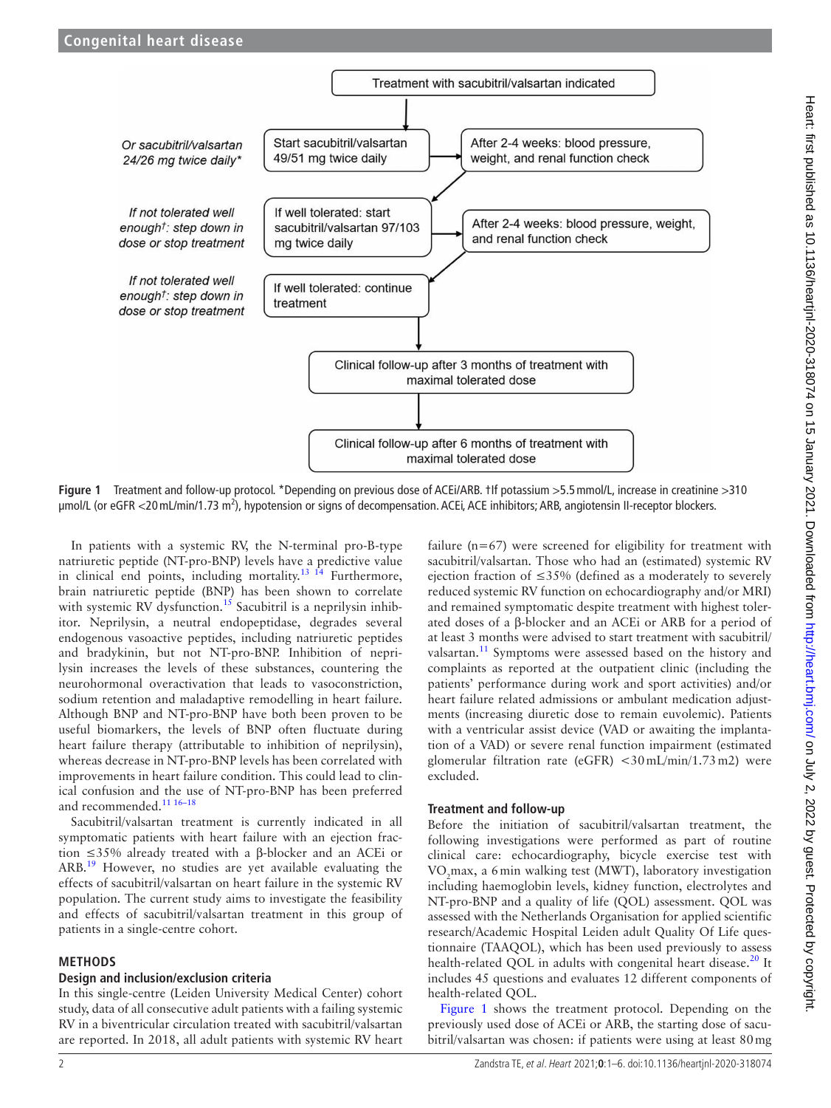

<span id="page-1-0"></span>**Figure 1** Treatment and follow-up protocol. \*Depending on previous dose of ACEi/ARB. †If potassium >5.5mmol/L, increase in creatinine >310 μmol/L (or eGFR <20 mL/min/1.73 m<sup>2</sup>), hypotension or signs of decompensation. ACEi, ACE inhibitors; ARB, angiotensin II-receptor blockers.

In patients with a systemic RV, the N-terminal pro-B-type natriuretic peptide (NT-pro-BNP) levels have a predictive value in clinical end points, including mortality.<sup>13  $\hat{1}^4$ </sup> Furthermore, brain natriuretic peptide (BNP) has been shown to correlate with systemic RV dysfunction.<sup>15</sup> Sacubitril is a neprilysin inhibitor. Neprilysin, a neutral endopeptidase, degrades several endogenous vasoactive peptides, including natriuretic peptides and bradykinin, but not NT-pro-BNP. Inhibition of neprilysin increases the levels of these substances, countering the neurohormonal overactivation that leads to vasoconstriction, sodium retention and maladaptive remodelling in heart failure. Although BNP and NT-pro-BNP have both been proven to be useful biomarkers, the levels of BNP often fluctuate during heart failure therapy (attributable to inhibition of neprilysin), whereas decrease in NT-pro-BNP levels has been correlated with improvements in heart failure condition. This could lead to clinical confusion and the use of NT-pro-BNP has been preferred and recommended.<sup>11 16-18</sup>

Sacubitril/valsartan treatment is currently indicated in all symptomatic patients with heart failure with an ejection fraction ≤35% already treated with a β-blocker and an ACEi or ARB[.19](#page-5-9) However, no studies are yet available evaluating the effects of sacubitril/valsartan on heart failure in the systemic RV population. The current study aims to investigate the feasibility and effects of sacubitril/valsartan treatment in this group of patients in a single-centre cohort.

# **METHODS**

## **Design and inclusion/exclusion criteria**

In this single-centre (Leiden University Medical Center) cohort study, data of all consecutive adult patients with a failing systemic RV in a biventricular circulation treated with sacubitril/valsartan are reported. In 2018, all adult patients with systemic RV heart

failure  $(n=67)$  were screened for eligibility for treatment with sacubitril/valsartan. Those who had an (estimated) systemic RV ejection fraction of  $\leq$ 35% (defined as a moderately to severely reduced systemic RV function on echocardiography and/or MRI) and remained symptomatic despite treatment with highest tolerated doses of a β-blocker and an ACEi or ARB for a period of at least 3 months were advised to start treatment with sacubitril/ valsartan.<sup>[11](#page-5-5)</sup> Symptoms were assessed based on the history and complaints as reported at the outpatient clinic (including the patients' performance during work and sport activities) and/or heart failure related admissions or ambulant medication adjustments (increasing diuretic dose to remain euvolemic). Patients with a ventricular assist device (VAD or awaiting the implantation of a VAD) or severe renal function impairment (estimated glomerular filtration rate (eGFR) <30mL/min/1.73m2) were excluded.

# **Treatment and follow-up**

Before the initiation of sacubitril/valsartan treatment, the following investigations were performed as part of routine clinical care: echocardiography, bicycle exercise test with VO2 max, a 6min walking test (MWT), laboratory investigation including haemoglobin levels, kidney function, electrolytes and NT-pro-BNP and a quality of life (QOL) assessment. QOL was assessed with the Netherlands Organisation for applied scientific research/Academic Hospital Leiden adult Quality Of Life questionnaire (TAAQOL), which has been used previously to assess health-related QOL in adults with congenital heart disease.<sup>[20](#page-5-10)</sup> It includes 45 questions and evaluates 12 different components of health-related QOL.

[Figure](#page-1-0) 1 shows the treatment protocol. Depending on the previously used dose of ACEi or ARB, the starting dose of sacubitril/valsartan was chosen: if patients were using at least 80mg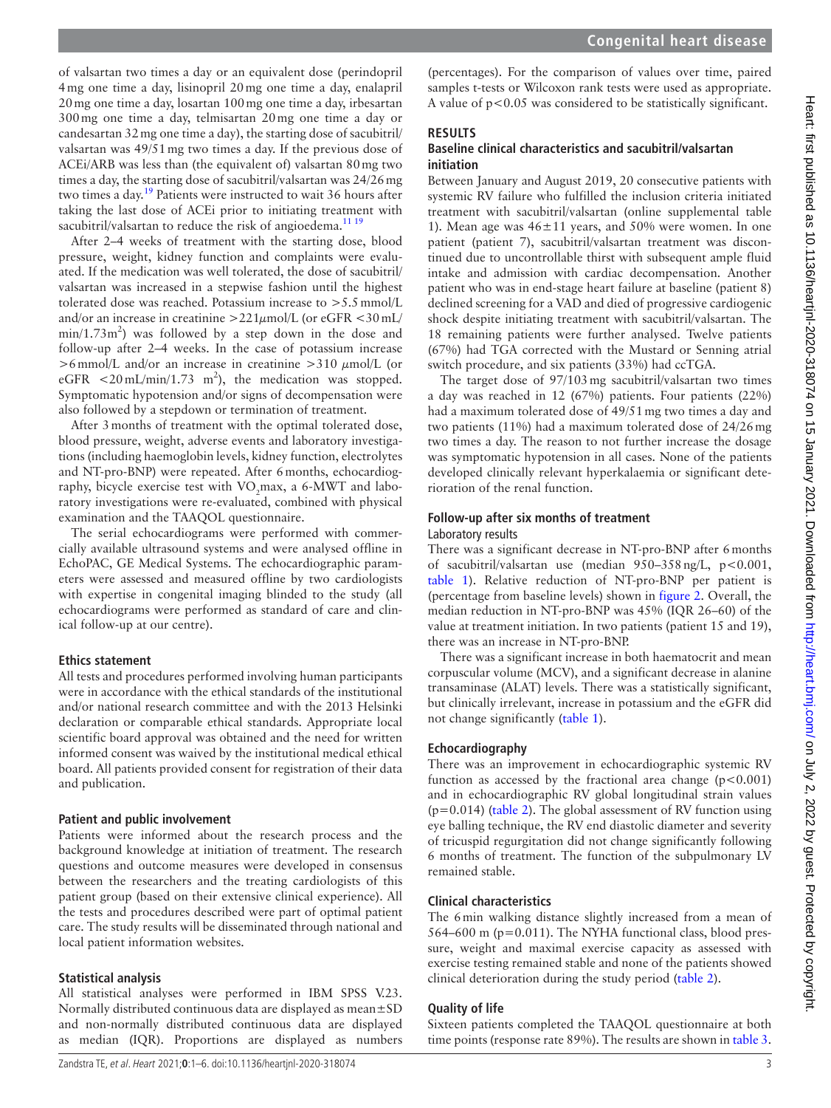of valsartan two times a day or an equivalent dose (perindopril 4mg one time a day, lisinopril 20mg one time a day, enalapril 20mg one time a day, losartan 100mg one time a day, irbesartan 300mg one time a day, telmisartan 20mg one time a day or candesartan 32mg one time a day), the starting dose of sacubitril/ valsartan was 49/51mg two times a day. If the previous dose of ACEi/ARB was less than (the equivalent of) valsartan 80mg two times a day, the starting dose of sacubitril/valsartan was 24/26mg two times a day.<sup>19</sup> Patients were instructed to wait 36 hours after taking the last dose of ACEi prior to initiating treatment with sacubitril/valsartan to reduce the risk of angioedema.<sup>[11 19](#page-5-5)</sup>

After 2–4 weeks of treatment with the starting dose, blood pressure, weight, kidney function and complaints were evaluated. If the medication was well tolerated, the dose of sacubitril/ valsartan was increased in a stepwise fashion until the highest tolerated dose was reached. Potassium increase to >5.5mmol/L and/or an increase in creatinine  $>221\mu$ mol/L (or eGFR <30 mL/  $min/1.73m<sup>2</sup>$ ) was followed by a step down in the dose and follow-up after 2–4 weeks. In the case of potassium increase  $>6$ mmol/L and/or an increase in creatinine  $>310 \mu$ mol/L (or eGFR  $\lt 20$  mL/min/1.73 m<sup>2</sup>), the medication was stopped. Symptomatic hypotension and/or signs of decompensation were also followed by a stepdown or termination of treatment.

After 3months of treatment with the optimal tolerated dose, blood pressure, weight, adverse events and laboratory investigations (including haemoglobin levels, kidney function, electrolytes and NT-pro-BNP) were repeated. After 6months, echocardiography, bicycle exercise test with  $\rm VO_{2}$ max, a 6-MWT and laboratory investigations were re-evaluated, combined with physical examination and the TAAQOL questionnaire.

The serial echocardiograms were performed with commercially available ultrasound systems and were analysed offline in EchoPAC, GE Medical Systems. The echocardiographic parameters were assessed and measured offline by two cardiologists with expertise in congenital imaging blinded to the study (all echocardiograms were performed as standard of care and clinical follow-up at our centre).

## **Ethics statement**

All tests and procedures performed involving human participants were in accordance with the ethical standards of the institutional and/or national research committee and with the 2013 Helsinki declaration or comparable ethical standards. Appropriate local scientific board approval was obtained and the need for written informed consent was waived by the institutional medical ethical board. All patients provided consent for registration of their data and publication.

# **Patient and public involvement**

Patients were informed about the research process and the background knowledge at initiation of treatment. The research questions and outcome measures were developed in consensus between the researchers and the treating cardiologists of this patient group (based on their extensive clinical experience). All the tests and procedures described were part of optimal patient care. The study results will be disseminated through national and local patient information websites.

# **Statistical analysis**

All statistical analyses were performed in IBM SPSS V.23. Normally distributed continuous data are displayed as mean±SD and non-normally distributed continuous data are displayed as median (IQR). Proportions are displayed as numbers

# **RESULTS**

# **Baseline clinical characteristics and sacubitril/valsartan initiation**

Between January and August 2019, 20 consecutive patients with systemic RV failure who fulfilled the inclusion criteria initiated treatment with sacubitril/valsartan [\(online supplemental table](https://dx.doi.org/10.1136/heartjnl-2020-318074) [1\)](https://dx.doi.org/10.1136/heartjnl-2020-318074). Mean age was  $46\pm11$  years, and 50% were women. In one patient (patient 7), sacubitril/valsartan treatment was discontinued due to uncontrollable thirst with subsequent ample fluid intake and admission with cardiac decompensation. Another patient who was in end-stage heart failure at baseline (patient 8) declined screening for a VAD and died of progressive cardiogenic shock despite initiating treatment with sacubitril/valsartan. The 18 remaining patients were further analysed. Twelve patients (67%) had TGA corrected with the Mustard or Senning atrial switch procedure, and six patients (33%) had ccTGA.

The target dose of 97/103mg sacubitril/valsartan two times a day was reached in 12 (67%) patients. Four patients (22%) had a maximum tolerated dose of 49/51mg two times a day and two patients (11%) had a maximum tolerated dose of 24/26mg two times a day. The reason to not further increase the dosage was symptomatic hypotension in all cases. None of the patients developed clinically relevant hyperkalaemia or significant deterioration of the renal function.

# **Follow-up after six months of treatment**

# Laboratory results

There was a significant decrease in NT-pro-BNP after 6months of sacubitril/valsartan use (median 950–358ng/L, p<0.001, [table](#page-3-0) 1). Relative reduction of NT-pro-BNP per patient is (percentage from baseline levels) shown in [figure](#page-3-1) 2. Overall, the median reduction in NT-pro-BNP was 45% (IQR 26–60) of the value at treatment initiation. In two patients (patient 15 and 19), there was an increase in NT-pro-BNP.

There was a significant increase in both haematocrit and mean corpuscular volume (MCV), and a significant decrease in alanine transaminase (ALAT) levels. There was a statistically significant, but clinically irrelevant, increase in potassium and the eGFR did not change significantly [\(table](#page-3-0) 1).

# **Echocardiography**

There was an improvement in echocardiographic systemic RV function as accessed by the fractional area change  $(p<0.001)$ and in echocardiographic RV global longitudinal strain values (p=0.014) [\(table](#page-3-2) 2). The global assessment of RV function using eye balling technique, the RV end diastolic diameter and severity of tricuspid regurgitation did not change significantly following 6 months of treatment. The function of the subpulmonary LV remained stable.

# **Clinical characteristics**

The 6min walking distance slightly increased from a mean of 564–600 m (p=0.011). The NYHA functional class, blood pressure, weight and maximal exercise capacity as assessed with exercise testing remained stable and none of the patients showed clinical deterioration during the study period ([table](#page-3-2) 2).

# **Quality of life**

Sixteen patients completed the TAAQOL questionnaire at both time points (response rate 89%). The results are shown in [table](#page-3-3) 3.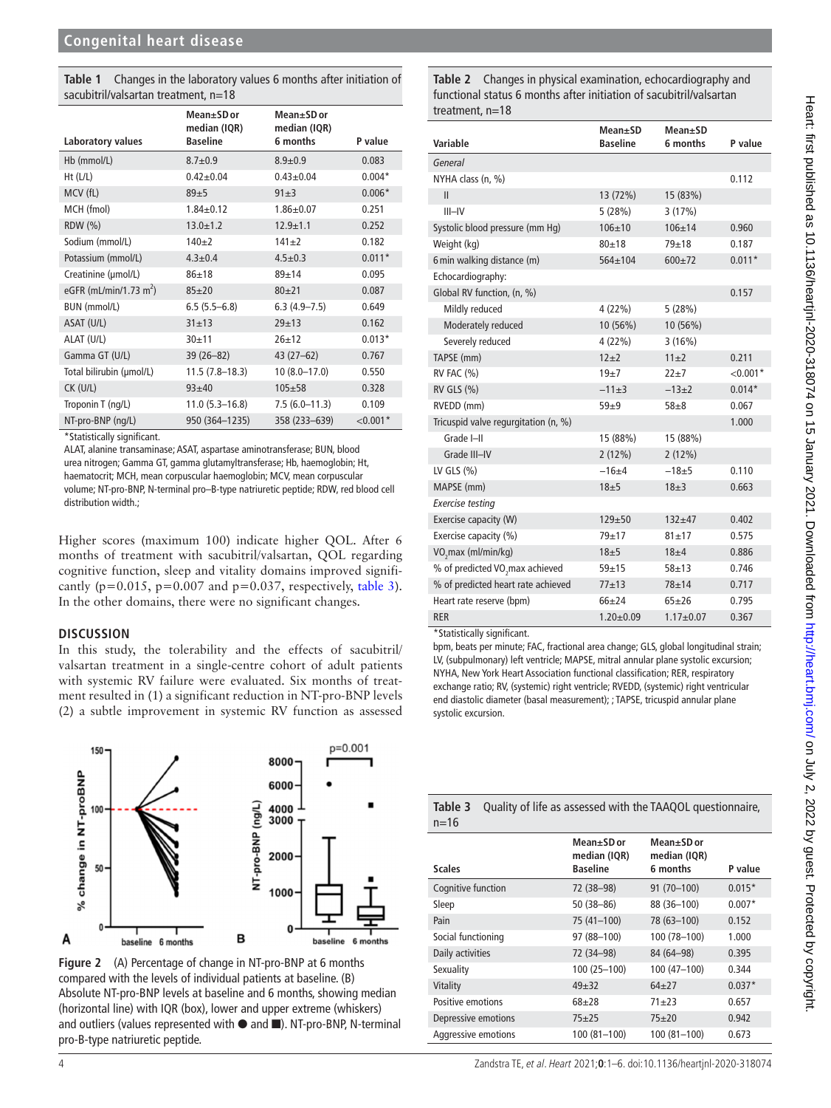<span id="page-3-0"></span>**Table 1** Changes in the laboratory values 6 months after initiation of sacubitril/valsartan treatment, n=18

|                                    | Mean+SD or<br>median (IQR) | Mean±SD or<br>median (IQR) |            |
|------------------------------------|----------------------------|----------------------------|------------|
| Laboratory values                  | <b>Baseline</b>            | 6 months                   | P value    |
| Hb (mmol/L)                        | $8.7 + 0.9$                | $8.9 + 0.9$                | 0.083      |
| $Ht$ (L/L)                         | $0.42 + 0.04$              | $0.43 + 0.04$              | $0.004*$   |
| MCV (fL)                           | $89 + 5$                   | $91 + 3$                   | $0.006*$   |
| MCH (fmol)                         | $1.84 + 0.12$              | $1.86 + 0.07$              | 0.251      |
| RDW (%)                            | $13.0 + 1.2$               | $12.9 + 1.1$               | 0.252      |
| Sodium (mmol/L)                    | $140+2$                    | $141 + 2$                  | 0.182      |
| Potassium (mmol/L)                 | $4.3 \pm 0.4$              | $4.5 \pm 0.3$              | $0.011*$   |
| Creatinine (µmol/L)                | $86 + 18$                  | $89 + 14$                  | 0.095      |
| eGFR (mL/min/1.73 m <sup>2</sup> ) | $85 + 20$                  | $80 + 21$                  | 0.087      |
| BUN (mmol/L)                       | $6.5(5.5-6.8)$             | $6.3(4.9 - 7.5)$           | 0.649      |
| ASAT (U/L)                         | $31 + 13$                  | $29 + 13$                  | 0.162      |
| ALAT (U/L)                         | $30 + 11$                  | $26 + 12$                  | $0.013*$   |
| Gamma GT (U/L)                     | $39(26 - 82)$              | $43(27-62)$                | 0.767      |
| Total bilirubin (µmol/L)           | $11.5(7.8-18.3)$           | $10(8.0 - 17.0)$           | 0.550      |
| $CK$ (U/L)                         | $93 + 40$                  | $105 + 58$                 | 0.328      |
| Troponin T (ng/L)                  | $11.0(5.3 - 16.8)$         | $7.5(6.0-11.3)$            | 0.109      |
| NT-pro-BNP (ng/L)                  | 950 (364-1235)             | 358 (233-639)              | $< 0.001*$ |

\*Statistically significant.

ALAT, alanine transaminase; ASAT, aspartase aminotransferase; BUN, blood urea nitrogen; Gamma GT, gamma glutamyltransferase; Hb, haemoglobin; Ht, haematocrit; MCH, mean corpuscular haemoglobin; MCV, mean corpuscular volume; NT-pro-BNP, N-terminal pro–B-type natriuretic peptide; RDW, red blood cell distribution width.;

Higher scores (maximum 100) indicate higher QOL. After 6 months of treatment with sacubitril/valsartan, QOL regarding cognitive function, sleep and vitality domains improved significantly ( $p=0.015$ ,  $p=0.007$  and  $p=0.037$ , respectively, [table](#page-3-3) 3). In the other domains, there were no significant changes.

# **DISCUSSION**

In this study, the tolerability and the effects of sacubitril/ valsartan treatment in a single-centre cohort of adult patients with systemic RV failure were evaluated. Six months of treatment resulted in (1) a significant reduction in NT-pro-BNP levels (2) a subtle improvement in systemic RV function as assessed



<span id="page-3-1"></span>**Figure 2** (A) Percentage of change in NT-pro-BNP at 6 months compared with the levels of individual patients at baseline. (B) Absolute NT-pro-BNP levels at baseline and 6 months, showing median (horizontal line) with IQR (box), lower and upper extreme (whiskers) and outliers (values represented with ● and ■). NT-pro-BNP, N-terminal pro-B-type natriuretic peptide.

<span id="page-3-2"></span>**Table 2** Changes in physical examination, echocardiography and functional status 6 months after initiation of sacubitril/valsartan treatment, n=18

| Variable                                    | Mean±SD<br><b>Baseline</b> | Mean±SD<br>6 months | P value    |
|---------------------------------------------|----------------------------|---------------------|------------|
| General                                     |                            |                     |            |
| NYHA class (n, %)                           |                            |                     | 0.112      |
| Ш                                           | 13 (72%)                   | 15 (83%)            |            |
| $III - IV$                                  | 5(28%)                     | 3(17%)              |            |
| Systolic blood pressure (mm Hq)             | $106 + 10$                 | $106 + 14$          | 0.960      |
| Weight (kg)                                 | $80 + 18$                  | $79 + 18$           | 0.187      |
| 6 min walking distance (m)                  | $564 + 104$                | $600+72$            | $0.011*$   |
| Echocardiography:                           |                            |                     |            |
| Global RV function, (n, %)                  |                            |                     | 0.157      |
| Mildly reduced                              | 4(22%)                     | 5(28%)              |            |
| Moderately reduced                          | 10 (56%)                   | 10 (56%)            |            |
| Severely reduced                            | 4(22%)                     | 3(16%)              |            |
| TAPSE (mm)                                  | $12+2$                     | $11\pm2$            | 0.211      |
| $RV$ FAC $(\% )$                            | $19+7$                     | $22+7$              | $< 0.001*$ |
| RV GLS (%)                                  | $-11\pm3$                  | $-13\pm2$           | $0.014*$   |
| RVEDD (mm)                                  | $59\pm9$                   | $58 + 8$            | 0.067      |
| Tricuspid valve regurgitation (n, %)        |                            |                     | 1.000      |
| Grade I-II                                  | 15 (88%)                   | 15 (88%)            |            |
| Grade III-IV                                | $2(12\%)$                  | 2(12%)              |            |
| LV GLS $(\% )$                              | $-16+4$                    | $-18+5$             | 0.110      |
| MAPSE (mm)                                  | 18±5                       | $18 + 3$            | 0.663      |
| <b>Exercise testing</b>                     |                            |                     |            |
| Exercise capacity (W)                       | $129 + 50$                 | $132 + 47$          | 0.402      |
| Exercise capacity (%)                       | $79 + 17$                  | $81 + 17$           | 0.575      |
| VO <sub>2</sub> max (ml/min/kg)             | $18\pm5$                   | $18 + 4$            | 0.886      |
| % of predicted VO <sub>,</sub> max achieved | $59 + 15$                  | $58 + 13$           | 0.746      |
| % of predicted heart rate achieved          | $77 + 13$                  | $78 + 14$           | 0.717      |
| Heart rate reserve (bpm)                    | $66 + 24$                  | $65 + 26$           | 0.795      |
| <b>RER</b>                                  | $1.20 \pm 0.09$            | $1.17 + 0.07$       | 0.367      |

\*Statistically significant.

bpm, beats per minute; FAC, fractional area change; GLS, global longitudinal strain; LV, (subpulmonary) left ventricle; MAPSE, mitral annular plane systolic excursion; NYHA, New York Heart Association functional classification; RER, respiratory exchange ratio; RV, (systemic) right ventricle; RVEDD, (systemic) right ventricular end diastolic diameter (basal measurement); ; TAPSE, tricuspid annular plane systolic excursion.

<span id="page-3-3"></span>

| $n = 16$            |                                               |                                        |          |  |  |
|---------------------|-----------------------------------------------|----------------------------------------|----------|--|--|
| <b>Scales</b>       | Mean±SD or<br>median (IQR)<br><b>Baseline</b> | Mean±SD or<br>median (IQR)<br>6 months | P value  |  |  |
| Cognitive function  | 72 (38-98)                                    | 91 (70-100)                            | $0.015*$ |  |  |
| Sleep               | $50(38 - 86)$                                 | 88 (36-100)                            | $0.007*$ |  |  |
| Pain                | 75 (41-100)                                   | 78 (63-100)                            | 0.152    |  |  |
| Social functioning  | 97 (88-100)                                   | 100 (78-100)                           | 1.000    |  |  |
| Daily activities    | 72 (34-98)                                    | 84 (64-98)                             | 0.395    |  |  |
| Sexuality           | $100(25 - 100)$                               | 100 (47-100)                           | 0.344    |  |  |
| Vitality            | $49 + 32$                                     | $64 + 27$                              | $0.037*$ |  |  |
| Positive emotions   | $68 + 28$                                     | $71 + 23$                              | 0.657    |  |  |
| Depressive emotions | $75 + 25$                                     | $75 + 20$                              | 0.942    |  |  |
| Aggressive emotions | $100(81 - 100)$                               | 100 (81-100)                           | 0.673    |  |  |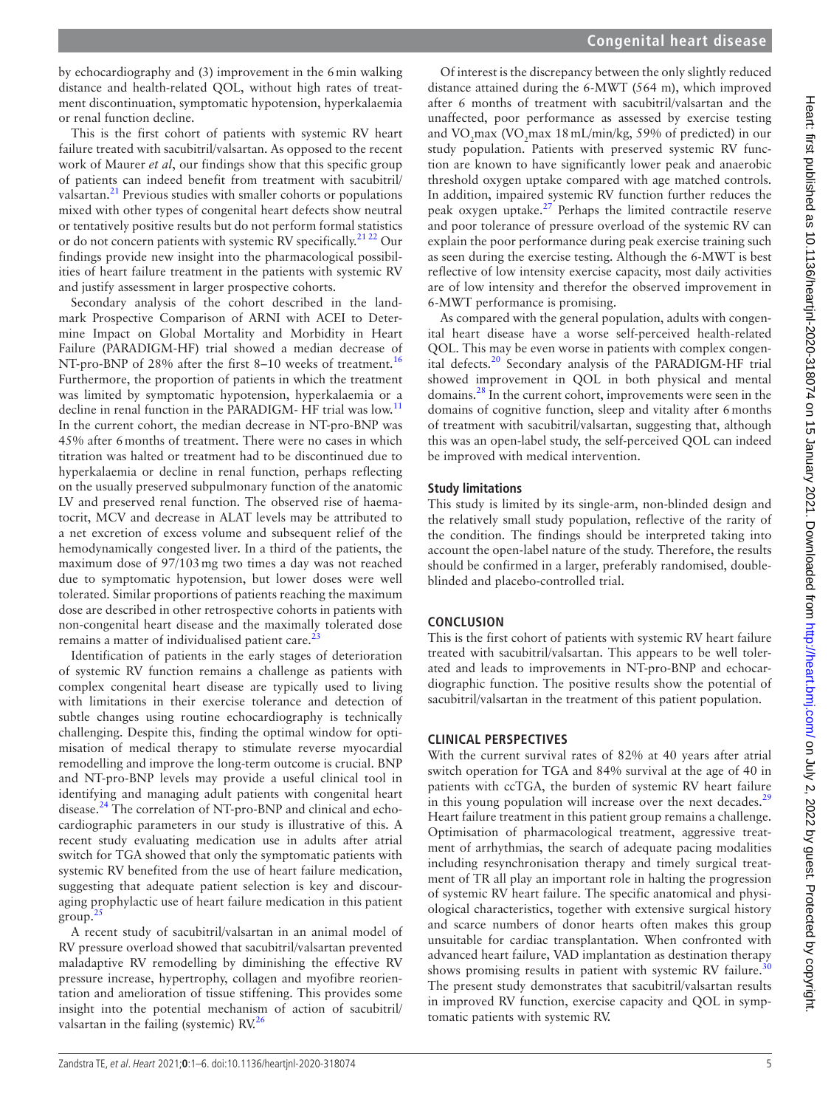by echocardiography and (3) improvement in the 6min walking distance and health-related QOL, without high rates of treatment discontinuation, symptomatic hypotension, hyperkalaemia or renal function decline.

This is the first cohort of patients with systemic RV heart failure treated with sacubitril/valsartan. As opposed to the recent work of Maurer *et al*, our findings show that this specific group of patients can indeed benefit from treatment with sacubitril/ valsartan.<sup>[21](#page-5-11)</sup> Previous studies with smaller cohorts or populations mixed with other types of congenital heart defects show neutral or tentatively positive results but do not perform formal statistics or do not concern patients with systemic RV specifically.<sup>21 22</sup> Our findings provide new insight into the pharmacological possibilities of heart failure treatment in the patients with systemic RV and justify assessment in larger prospective cohorts.

Secondary analysis of the cohort described in the landmark Prospective Comparison of ARNI with ACEI to Determine Impact on Global Mortality and Morbidity in Heart Failure (PARADIGM-HF) trial showed a median decrease of NT-pro-BNP of 28% after the first 8–10 weeks of treatment.<sup>[16](#page-5-12)</sup> Furthermore, the proportion of patients in which the treatment was limited by symptomatic hypotension, hyperkalaemia or a decline in renal function in the PARADIGM- HF trial was low.<sup>[11](#page-5-5)</sup> In the current cohort, the median decrease in NT-pro-BNP was 45% after 6months of treatment. There were no cases in which titration was halted or treatment had to be discontinued due to hyperkalaemia or decline in renal function, perhaps reflecting on the usually preserved subpulmonary function of the anatomic LV and preserved renal function. The observed rise of haematocrit, MCV and decrease in ALAT levels may be attributed to a net excretion of excess volume and subsequent relief of the hemodynamically congested liver. In a third of the patients, the maximum dose of 97/103mg two times a day was not reached due to symptomatic hypotension, but lower doses were well tolerated. Similar proportions of patients reaching the maximum dose are described in other retrospective cohorts in patients with non-congenital heart disease and the maximally tolerated dose remains a matter of individualised patient care. $^{23}$  $^{23}$  $^{23}$ 

Identification of patients in the early stages of deterioration of systemic RV function remains a challenge as patients with complex congenital heart disease are typically used to living with limitations in their exercise tolerance and detection of subtle changes using routine echocardiography is technically challenging. Despite this, finding the optimal window for optimisation of medical therapy to stimulate reverse myocardial remodelling and improve the long-term outcome is crucial. BNP and NT-pro-BNP levels may provide a useful clinical tool in identifying and managing adult patients with congenital heart disease.<sup>24</sup> The correlation of NT-pro-BNP and clinical and echocardiographic parameters in our study is illustrative of this. A recent study evaluating medication use in adults after atrial switch for TGA showed that only the symptomatic patients with systemic RV benefited from the use of heart failure medication, suggesting that adequate patient selection is key and discouraging prophylactic use of heart failure medication in this patient  $\text{group}^2$ 

A recent study of sacubitril/valsartan in an animal model of RV pressure overload showed that sacubitril/valsartan prevented maladaptive RV remodelling by diminishing the effective RV pressure increase, hypertrophy, collagen and myofibre reorientation and amelioration of tissue stiffening. This provides some insight into the potential mechanism of action of sacubitril/ valsartan in the failing (systemic) RV.<sup>26</sup>

Of interest is the discrepancy between the only slightly reduced distance attained during the 6-MWT (564 m), which improved after 6 months of treatment with sacubitril/valsartan and the unaffected, poor performance as assessed by exercise testing and  $\rm VO_{2}$ max  $\rm (VO_{2}$ max 18 mL/min/kg, 59% of predicted) in our study population. Patients with preserved systemic RV function are known to have significantly lower peak and anaerobic threshold oxygen uptake compared with age matched controls. In addition, impaired systemic RV function further reduces the peak oxygen uptake. $27$  Perhaps the limited contractile reserve and poor tolerance of pressure overload of the systemic RV can explain the poor performance during peak exercise training such as seen during the exercise testing. Although the 6-MWT is best reflective of low intensity exercise capacity, most daily activities are of low intensity and therefor the observed improvement in 6-MWT performance is promising.

As compared with the general population, adults with congenital heart disease have a worse self-perceived health-related QOL. This may be even worse in patients with complex congenital defects[.20](#page-5-10) Secondary analysis of the PARADIGM-HF trial showed improvement in QOL in both physical and mental domains.[28](#page-5-18) In the current cohort, improvements were seen in the domains of cognitive function, sleep and vitality after 6months of treatment with sacubitril/valsartan, suggesting that, although this was an open-label study, the self-perceived QOL can indeed be improved with medical intervention.

# **Study limitations**

This study is limited by its single-arm, non-blinded design and the relatively small study population, reflective of the rarity of the condition. The findings should be interpreted taking into account the open-label nature of the study. Therefore, the results should be confirmed in a larger, preferably randomised, doubleblinded and placebo-controlled trial.

# **CONCLUSION**

This is the first cohort of patients with systemic RV heart failure treated with sacubitril/valsartan. This appears to be well tolerated and leads to improvements in NT-pro-BNP and echocardiographic function. The positive results show the potential of sacubitril/valsartan in the treatment of this patient population.

# **CLINICAL PERSPECTIVES**

With the current survival rates of 82% at 40 years after atrial switch operation for TGA and 84% survival at the age of 40 in patients with ccTGA, the burden of systemic RV heart failure in this young population will increase over the next decades. $^{29}$  $^{29}$  $^{29}$ Heart failure treatment in this patient group remains a challenge. Optimisation of pharmacological treatment, aggressive treatment of arrhythmias, the search of adequate pacing modalities including resynchronisation therapy and timely surgical treatment of TR all play an important role in halting the progression of systemic RV heart failure. The specific anatomical and physiological characteristics, together with extensive surgical history and scarce numbers of donor hearts often makes this group unsuitable for cardiac transplantation. When confronted with advanced heart failure, VAD implantation as destination therapy shows promising results in patient with systemic RV failure.<sup>[30](#page-5-20)</sup> The present study demonstrates that sacubitril/valsartan results in improved RV function, exercise capacity and QOL in symptomatic patients with systemic RV.